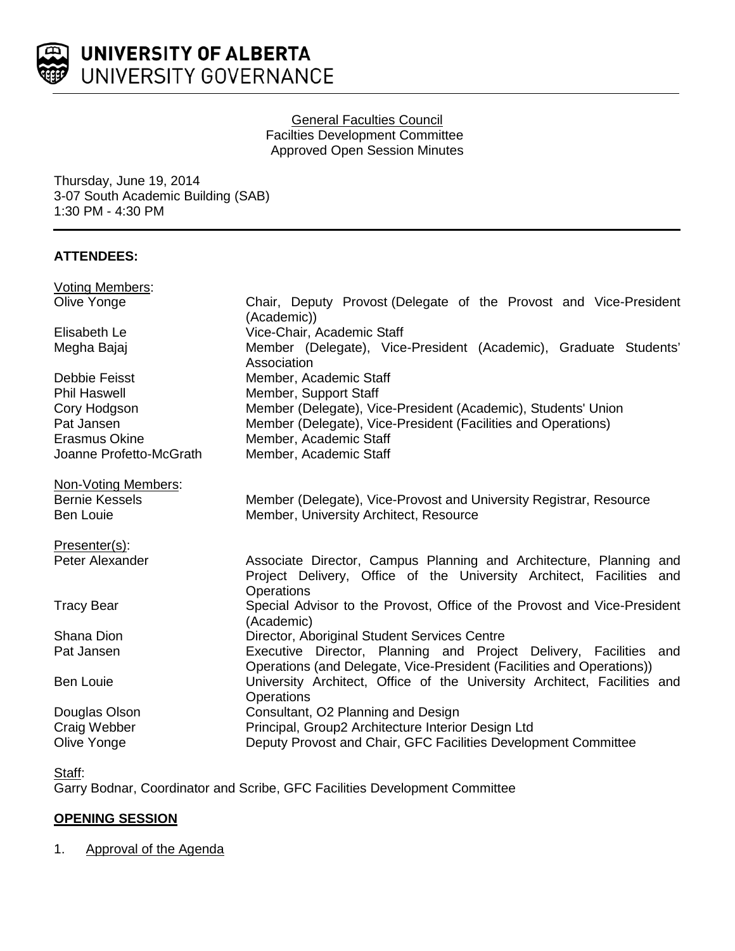

# General Faculties Council Facilties Development Committee Approved Open Session Minutes

Thursday, June 19, 2014 3-07 South Academic Building (SAB) 1:30 PM - 4:30 PM

## **ATTENDEES:**

| <b>Voting Members:</b>  |                                                                                                                                                          |
|-------------------------|----------------------------------------------------------------------------------------------------------------------------------------------------------|
| Olive Yonge             | Chair, Deputy Provost (Delegate of the Provost and Vice-President<br>(Academic))                                                                         |
| Elisabeth Le            | Vice-Chair, Academic Staff                                                                                                                               |
| Megha Bajaj             | Member (Delegate), Vice-President (Academic), Graduate Students'<br>Association                                                                          |
| Debbie Feisst           | Member, Academic Staff                                                                                                                                   |
| <b>Phil Haswell</b>     | Member, Support Staff                                                                                                                                    |
| Cory Hodgson            | Member (Delegate), Vice-President (Academic), Students' Union                                                                                            |
| Pat Jansen              | Member (Delegate), Vice-President (Facilities and Operations)                                                                                            |
| <b>Erasmus Okine</b>    | Member, Academic Staff                                                                                                                                   |
| Joanne Profetto-McGrath | Member, Academic Staff                                                                                                                                   |
| Non-Voting Members:     |                                                                                                                                                          |
| <b>Bernie Kessels</b>   | Member (Delegate), Vice-Provost and University Registrar, Resource                                                                                       |
| <b>Ben Louie</b>        | Member, University Architect, Resource                                                                                                                   |
| Presenter(s):           |                                                                                                                                                          |
| Peter Alexander         | Associate Director, Campus Planning and Architecture, Planning and<br>Project Delivery, Office of the University Architect, Facilities and<br>Operations |
| <b>Tracy Bear</b>       | Special Advisor to the Provost, Office of the Provost and Vice-President<br>(Academic)                                                                   |
| Shana Dion              | Director, Aboriginal Student Services Centre                                                                                                             |
| Pat Jansen              | Executive Director, Planning and Project Delivery, Facilities and<br>Operations (and Delegate, Vice-President (Facilities and Operations))               |
| <b>Ben Louie</b>        | University Architect, Office of the University Architect, Facilities and<br><b>Operations</b>                                                            |
| Douglas Olson           | Consultant, O2 Planning and Design                                                                                                                       |
| Craig Webber            | Principal, Group2 Architecture Interior Design Ltd                                                                                                       |
| Olive Yonge             | Deputy Provost and Chair, GFC Facilities Development Committee                                                                                           |

Garry Bodnar, Coordinator and Scribe, GFC Facilities Development Committee

# **OPENING SESSION**

# 1. Approval of the Agenda

Staff: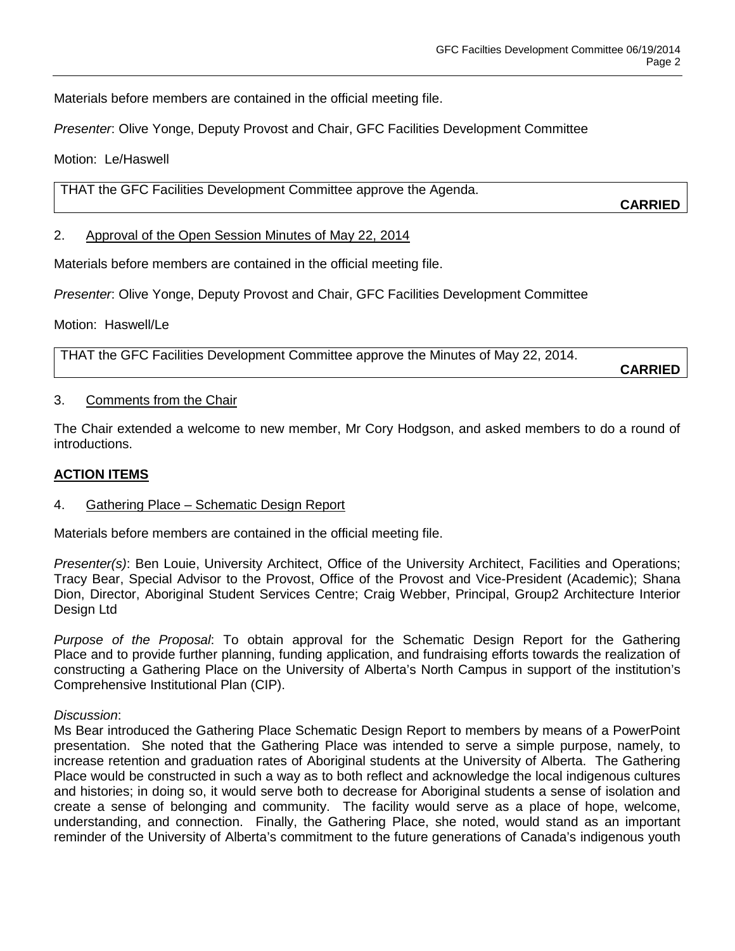Materials before members are contained in the official meeting file.

*Presenter*: Olive Yonge, Deputy Provost and Chair, GFC Facilities Development Committee

Motion: Le/Haswell

THAT the GFC Facilities Development Committee approve the Agenda.

**CARRIED**

2. Approval of the Open Session Minutes of May 22, 2014

Materials before members are contained in the official meeting file.

*Presenter*: Olive Yonge, Deputy Provost and Chair, GFC Facilities Development Committee

Motion: Haswell/Le

THAT the GFC Facilities Development Committee approve the Minutes of May 22, 2014. **CARRIED**

#### 3. Comments from the Chair

The Chair extended a welcome to new member, Mr Cory Hodgson, and asked members to do a round of introductions.

### **ACTION ITEMS**

#### 4. Gathering Place – Schematic Design Report

Materials before members are contained in the official meeting file.

*Presenter(s)*: Ben Louie, University Architect, Office of the University Architect, Facilities and Operations; Tracy Bear, Special Advisor to the Provost, Office of the Provost and Vice-President (Academic); Shana Dion, Director, Aboriginal Student Services Centre; Craig Webber, Principal, Group2 Architecture Interior Design Ltd

*Purpose of the Proposal*: To obtain approval for the Schematic Design Report for the Gathering Place and to provide further planning, funding application, and fundraising efforts towards the realization of constructing a Gathering Place on the University of Alberta's North Campus in support of the institution's Comprehensive Institutional Plan (CIP).

*Discussion*:

Ms Bear introduced the Gathering Place Schematic Design Report to members by means of a PowerPoint presentation. She noted that the Gathering Place was intended to serve a simple purpose, namely, to increase retention and graduation rates of Aboriginal students at the University of Alberta. The Gathering Place would be constructed in such a way as to both reflect and acknowledge the local indigenous cultures and histories; in doing so, it would serve both to decrease for Aboriginal students a sense of isolation and create a sense of belonging and community. The facility would serve as a place of hope, welcome, understanding, and connection. Finally, the Gathering Place, she noted, would stand as an important reminder of the University of Alberta's commitment to the future generations of Canada's indigenous youth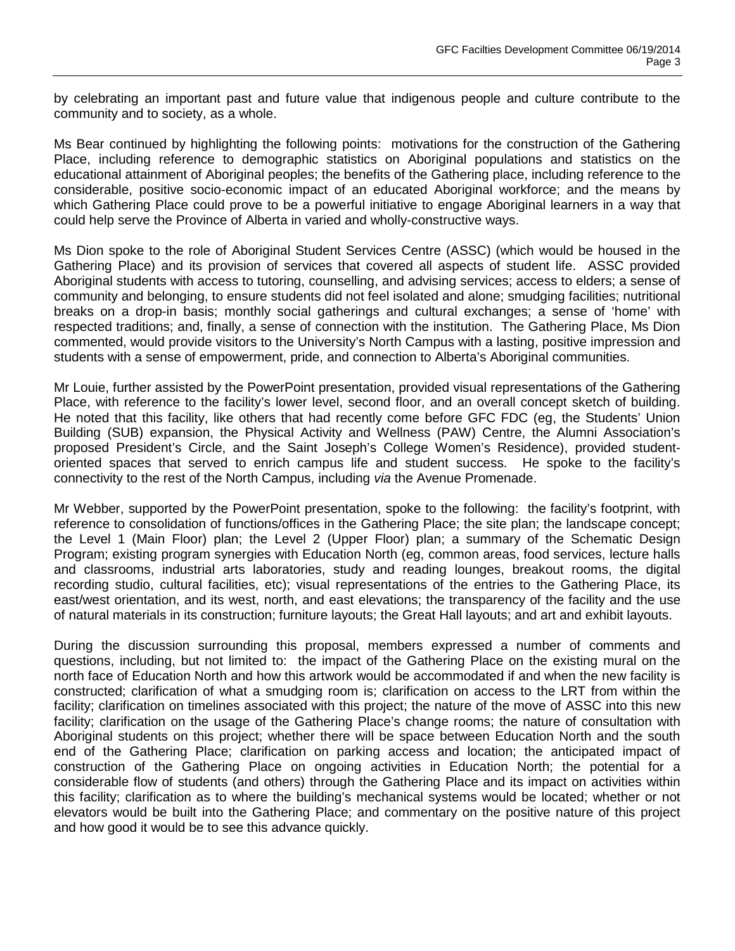by celebrating an important past and future value that indigenous people and culture contribute to the community and to society, as a whole.

Ms Bear continued by highlighting the following points: motivations for the construction of the Gathering Place, including reference to demographic statistics on Aboriginal populations and statistics on the educational attainment of Aboriginal peoples; the benefits of the Gathering place, including reference to the considerable, positive socio-economic impact of an educated Aboriginal workforce; and the means by which Gathering Place could prove to be a powerful initiative to engage Aboriginal learners in a way that could help serve the Province of Alberta in varied and wholly-constructive ways.

Ms Dion spoke to the role of Aboriginal Student Services Centre (ASSC) (which would be housed in the Gathering Place) and its provision of services that covered all aspects of student life. ASSC provided Aboriginal students with access to tutoring, counselling, and advising services; access to elders; a sense of community and belonging, to ensure students did not feel isolated and alone; smudging facilities; nutritional breaks on a drop-in basis; monthly social gatherings and cultural exchanges; a sense of 'home' with respected traditions; and, finally, a sense of connection with the institution. The Gathering Place, Ms Dion commented, would provide visitors to the University's North Campus with a lasting, positive impression and students with a sense of empowerment, pride, and connection to Alberta's Aboriginal communities.

Mr Louie, further assisted by the PowerPoint presentation, provided visual representations of the Gathering Place, with reference to the facility's lower level, second floor, and an overall concept sketch of building. He noted that this facility, like others that had recently come before GFC FDC (eg, the Students' Union Building (SUB) expansion, the Physical Activity and Wellness (PAW) Centre, the Alumni Association's proposed President's Circle, and the Saint Joseph's College Women's Residence), provided studentoriented spaces that served to enrich campus life and student success. He spoke to the facility's connectivity to the rest of the North Campus, including *via* the Avenue Promenade.

Mr Webber, supported by the PowerPoint presentation, spoke to the following: the facility's footprint, with reference to consolidation of functions/offices in the Gathering Place; the site plan; the landscape concept; the Level 1 (Main Floor) plan; the Level 2 (Upper Floor) plan; a summary of the Schematic Design Program; existing program synergies with Education North (eg, common areas, food services, lecture halls and classrooms, industrial arts laboratories, study and reading lounges, breakout rooms, the digital recording studio, cultural facilities, etc); visual representations of the entries to the Gathering Place, its east/west orientation, and its west, north, and east elevations; the transparency of the facility and the use of natural materials in its construction; furniture layouts; the Great Hall layouts; and art and exhibit layouts.

During the discussion surrounding this proposal, members expressed a number of comments and questions, including, but not limited to: the impact of the Gathering Place on the existing mural on the north face of Education North and how this artwork would be accommodated if and when the new facility is constructed; clarification of what a smudging room is; clarification on access to the LRT from within the facility; clarification on timelines associated with this project; the nature of the move of ASSC into this new facility; clarification on the usage of the Gathering Place's change rooms; the nature of consultation with Aboriginal students on this project; whether there will be space between Education North and the south end of the Gathering Place; clarification on parking access and location; the anticipated impact of construction of the Gathering Place on ongoing activities in Education North; the potential for a considerable flow of students (and others) through the Gathering Place and its impact on activities within this facility; clarification as to where the building's mechanical systems would be located; whether or not elevators would be built into the Gathering Place; and commentary on the positive nature of this project and how good it would be to see this advance quickly.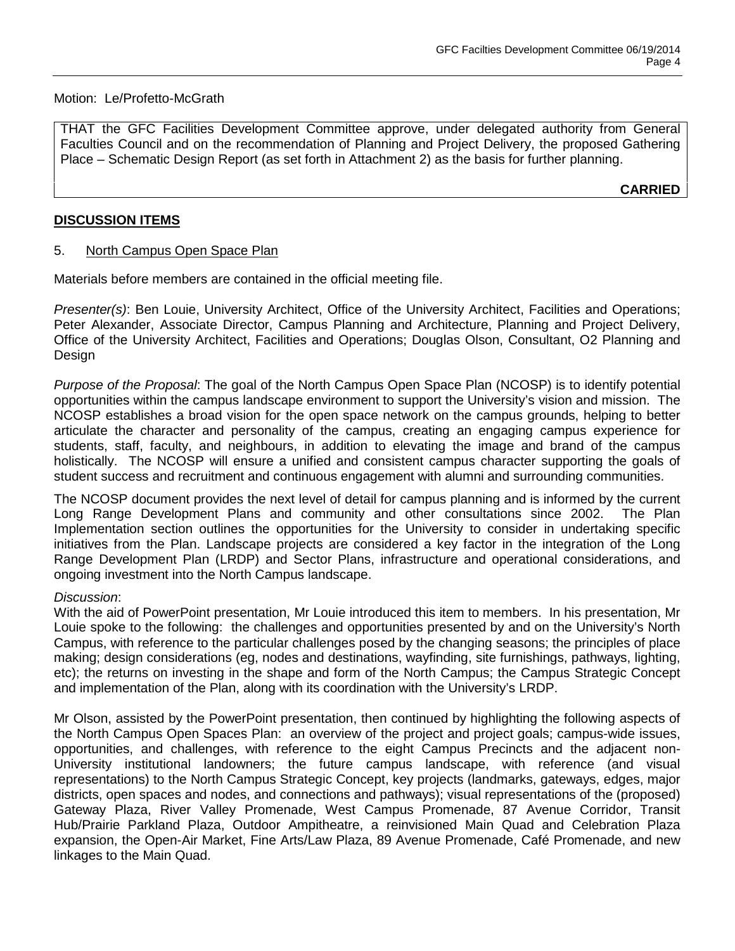### Motion: Le/Profetto-McGrath

THAT the GFC Facilities Development Committee approve, under delegated authority from General Faculties Council and on the recommendation of Planning and Project Delivery, the proposed Gathering Place – Schematic Design Report (as set forth in Attachment 2) as the basis for further planning.

**CARRIED**

### **DISCUSSION ITEMS**

### 5. North Campus Open Space Plan

Materials before members are contained in the official meeting file.

*Presenter(s)*: Ben Louie, University Architect, Office of the University Architect, Facilities and Operations; Peter Alexander, Associate Director, Campus Planning and Architecture, Planning and Project Delivery, Office of the University Architect, Facilities and Operations; Douglas Olson, Consultant, O2 Planning and Design

*Purpose of the Proposal*: The goal of the North Campus Open Space Plan (NCOSP) is to identify potential opportunities within the campus landscape environment to support the University's vision and mission. The NCOSP establishes a broad vision for the open space network on the campus grounds, helping to better articulate the character and personality of the campus, creating an engaging campus experience for students, staff, faculty, and neighbours, in addition to elevating the image and brand of the campus holistically. The NCOSP will ensure a unified and consistent campus character supporting the goals of student success and recruitment and continuous engagement with alumni and surrounding communities.

The NCOSP document provides the next level of detail for campus planning and is informed by the current Long Range Development Plans and community and other consultations since 2002. The Plan Implementation section outlines the opportunities for the University to consider in undertaking specific initiatives from the Plan. Landscape projects are considered a key factor in the integration of the Long Range Development Plan (LRDP) and Sector Plans, infrastructure and operational considerations, and ongoing investment into the North Campus landscape.

#### *Discussion*:

With the aid of PowerPoint presentation, Mr Louie introduced this item to members. In his presentation, Mr Louie spoke to the following: the challenges and opportunities presented by and on the University's North Campus, with reference to the particular challenges posed by the changing seasons; the principles of place making; design considerations (eg, nodes and destinations, wayfinding, site furnishings, pathways, lighting, etc); the returns on investing in the shape and form of the North Campus; the Campus Strategic Concept and implementation of the Plan, along with its coordination with the University's LRDP.

Mr Olson, assisted by the PowerPoint presentation, then continued by highlighting the following aspects of the North Campus Open Spaces Plan: an overview of the project and project goals; campus-wide issues, opportunities, and challenges, with reference to the eight Campus Precincts and the adjacent non-University institutional landowners; the future campus landscape, with reference (and visual representations) to the North Campus Strategic Concept, key projects (landmarks, gateways, edges, major districts, open spaces and nodes, and connections and pathways); visual representations of the (proposed) Gateway Plaza, River Valley Promenade, West Campus Promenade, 87 Avenue Corridor, Transit Hub/Prairie Parkland Plaza, Outdoor Ampitheatre, a reinvisioned Main Quad and Celebration Plaza expansion, the Open-Air Market, Fine Arts/Law Plaza, 89 Avenue Promenade, Café Promenade, and new linkages to the Main Quad.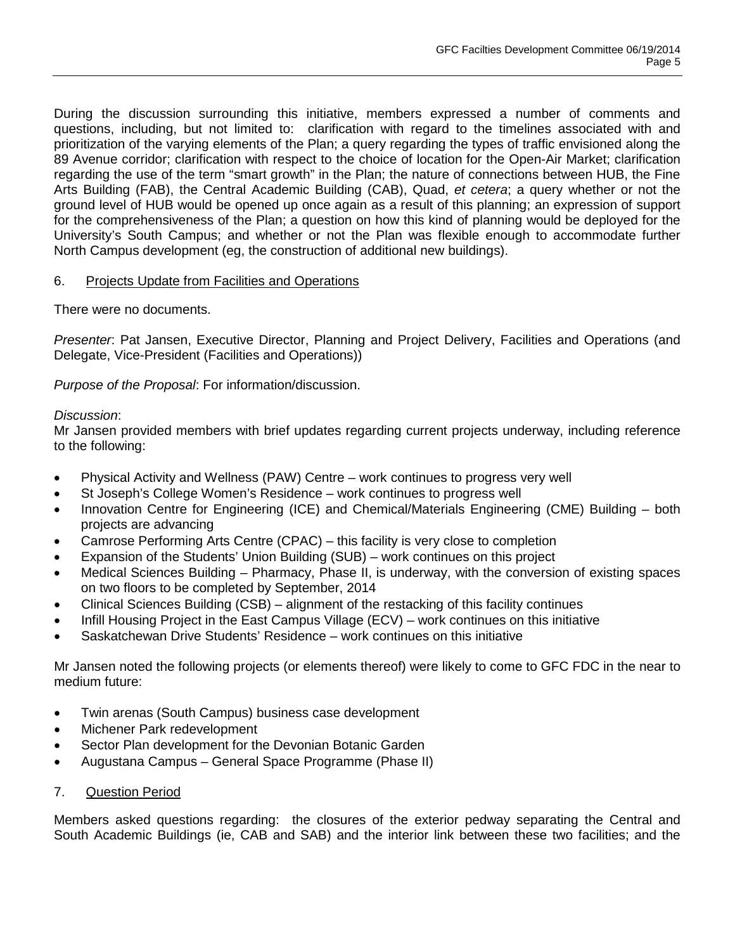During the discussion surrounding this initiative, members expressed a number of comments and questions, including, but not limited to: clarification with regard to the timelines associated with and prioritization of the varying elements of the Plan; a query regarding the types of traffic envisioned along the 89 Avenue corridor; clarification with respect to the choice of location for the Open-Air Market; clarification regarding the use of the term "smart growth" in the Plan; the nature of connections between HUB, the Fine Arts Building (FAB), the Central Academic Building (CAB), Quad, *et cetera*; a query whether or not the ground level of HUB would be opened up once again as a result of this planning; an expression of support for the comprehensiveness of the Plan; a question on how this kind of planning would be deployed for the University's South Campus; and whether or not the Plan was flexible enough to accommodate further North Campus development (eg, the construction of additional new buildings).

# 6. Projects Update from Facilities and Operations

There were no documents.

*Presenter*: Pat Jansen, Executive Director, Planning and Project Delivery, Facilities and Operations (and Delegate, Vice-President (Facilities and Operations))

*Purpose of the Proposal*: For information/discussion.

### *Discussion*:

Mr Jansen provided members with brief updates regarding current projects underway, including reference to the following:

- Physical Activity and Wellness (PAW) Centre work continues to progress very well
- St Joseph's College Women's Residence work continues to progress well
- Innovation Centre for Engineering (ICE) and Chemical/Materials Engineering (CME) Building both projects are advancing
- Camrose Performing Arts Centre (CPAC) this facility is very close to completion
- Expansion of the Students' Union Building (SUB) work continues on this project
- Medical Sciences Building Pharmacy, Phase II, is underway, with the conversion of existing spaces on two floors to be completed by September, 2014
- Clinical Sciences Building (CSB) alignment of the restacking of this facility continues
- Infill Housing Project in the East Campus Village (ECV) work continues on this initiative
- Saskatchewan Drive Students' Residence work continues on this initiative

Mr Jansen noted the following projects (or elements thereof) were likely to come to GFC FDC in the near to medium future:

- Twin arenas (South Campus) business case development
- Michener Park redevelopment
- Sector Plan development for the Devonian Botanic Garden
- Augustana Campus General Space Programme (Phase II)
- 7. Question Period

Members asked questions regarding: the closures of the exterior pedway separating the Central and South Academic Buildings (ie, CAB and SAB) and the interior link between these two facilities; and the